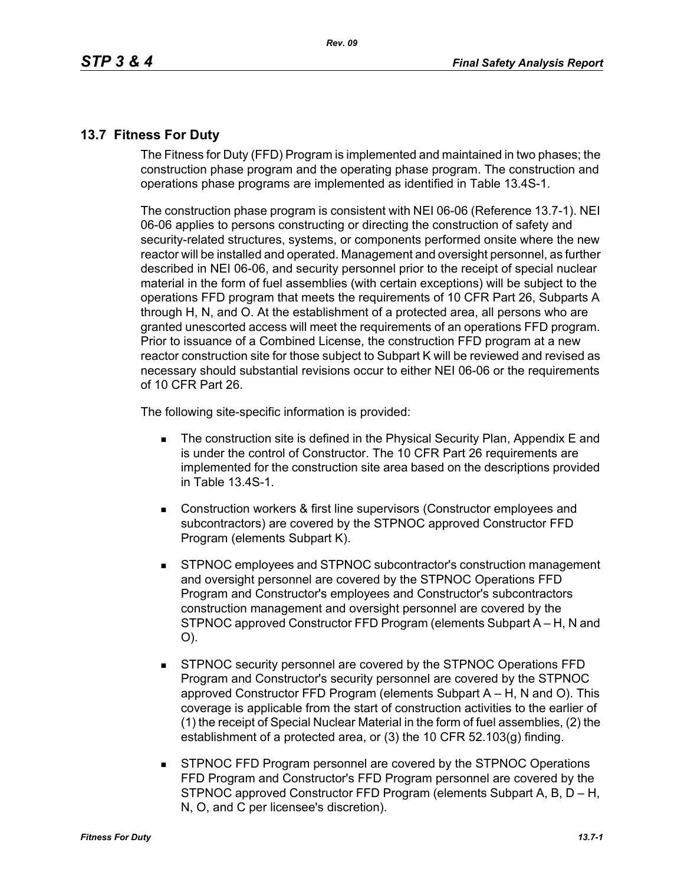## **13.7 Fitness For Duty**

The Fitness for Duty (FFD) Program is implemented and maintained in two phases; the construction phase program and the operating phase program. The construction and operations phase programs are implemented as identified in Table 13.4S-1.

The construction phase program is consistent with NEI 06-06 (Reference 13.7-1). NEI 06-06 applies to persons constructing or directing the construction of safety and security-related structures, systems, or components performed onsite where the new reactor will be installed and operated. Management and oversight personnel, as further described in NEI 06-06, and security personnel prior to the receipt of special nuclear material in the form of fuel assemblies (with certain exceptions) will be subject to the operations FFD program that meets the requirements of 10 CFR Part 26, Subparts A through H, N, and O. At the establishment of a protected area, all persons who are granted unescorted access will meet the requirements of an operations FFD program. Prior to issuance of a Combined License, the construction FFD program at a new reactor construction site for those subject to Subpart K will be reviewed and revised as necessary should substantial revisions occur to either NEI 06-06 or the requirements of 10 CFR Part 26.

The following site-specific information is provided:

- **The construction site is defined in the Physical Security Plan, Appendix E and** is under the control of Constructor. The 10 CFR Part 26 requirements are implemented for the construction site area based on the descriptions provided in Table 13.4S-1.
- Construction workers & first line supervisors (Constructor employees and subcontractors) are covered by the STPNOC approved Constructor FFD Program (elements Subpart K).
- STPNOC employees and STPNOC subcontractor's construction management and oversight personnel are covered by the STPNOC Operations FFD Program and Constructor's employees and Constructor's subcontractors construction management and oversight personnel are covered by the STPNOC approved Constructor FFD Program (elements Subpart A – H, N and O).
- STPNOC security personnel are covered by the STPNOC Operations FFD Program and Constructor's security personnel are covered by the STPNOC approved Constructor FFD Program (elements Subpart A – H, N and O). This coverage is applicable from the start of construction activities to the earlier of (1) the receipt of Special Nuclear Material in the form of fuel assemblies, (2) the establishment of a protected area, or (3) the 10 CFR 52.103(g) finding.
- STPNOC FFD Program personnel are covered by the STPNOC Operations FFD Program and Constructor's FFD Program personnel are covered by the STPNOC approved Constructor FFD Program (elements Subpart A, B, D – H, N, O, and C per licensee's discretion).